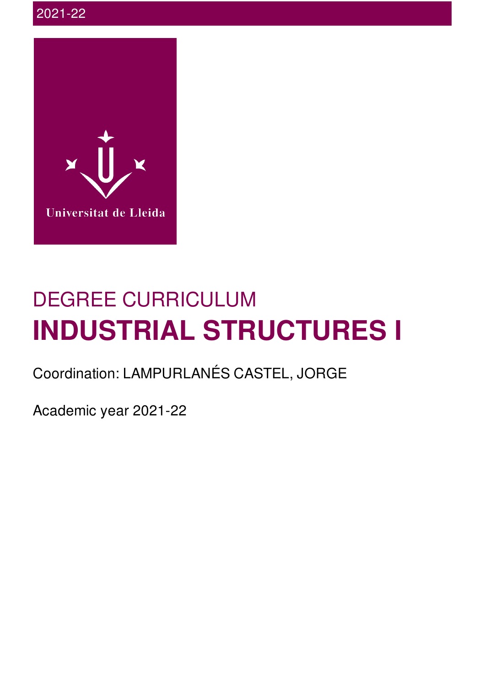

# DEGREE CURRICULUM **INDUSTRIAL STRUCTURES I**

Coordination: LAMPURLANÉS CASTEL, JORGE

Academic year 2021-22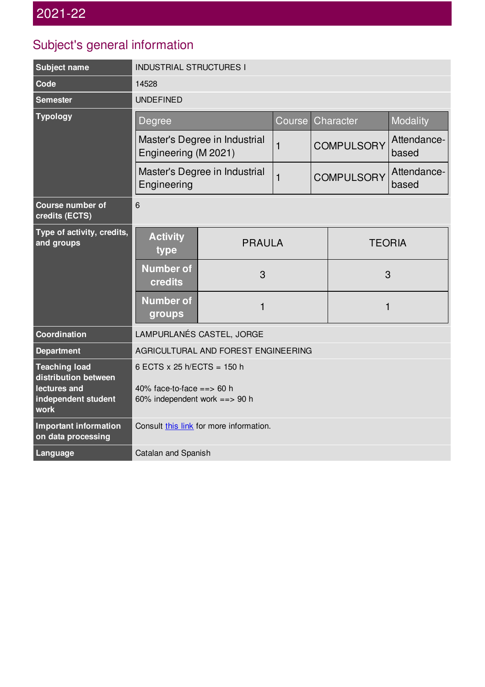## Subject's general information

| Subject name                                       | <b>INDUSTRIAL STRUCTURES I</b>                               |               |              |                   |                   |                      |
|----------------------------------------------------|--------------------------------------------------------------|---------------|--------------|-------------------|-------------------|----------------------|
| Code                                               | 14528                                                        |               |              |                   |                   |                      |
| <b>Semester</b>                                    | <b>UNDEFINED</b>                                             |               |              |                   |                   |                      |
| <b>Typology</b>                                    | Degree                                                       |               | Course       |                   | Character         | Modality             |
|                                                    | Master's Degree in Industrial<br>Engineering (M 2021)        |               | $\mathbf{1}$ | <b>COMPULSORY</b> |                   | Attendance-<br>based |
|                                                    | Master's Degree in Industrial<br>$\mathbf{1}$<br>Engineering |               |              |                   | <b>COMPULSORY</b> | Attendance-<br>based |
| <b>Course number of</b><br>credits (ECTS)          | 6                                                            |               |              |                   |                   |                      |
| Type of activity, credits,<br>and groups           | <b>Activity</b><br>type                                      | <b>PRAULA</b> |              |                   | <b>TEORIA</b>     |                      |
|                                                    | <b>Number of</b><br>credits                                  | 3             |              |                   | 3                 |                      |
|                                                    | <b>Number of</b><br>groups                                   | 1             |              | $\mathbf{1}$      |                   |                      |
| <b>Coordination</b>                                | LAMPURLANÉS CASTEL, JORGE                                    |               |              |                   |                   |                      |
| <b>Department</b>                                  | AGRICULTURAL AND FOREST ENGINEERING                          |               |              |                   |                   |                      |
| <b>Teaching load</b><br>distribution between       | 6 ECTS x 25 h/ECTS = 150 h                                   |               |              |                   |                   |                      |
| lectures and<br>independent student<br>work        | 40% face-to-face == > 60 h<br>60% independent work $==$ 90 h |               |              |                   |                   |                      |
| <b>Important information</b><br>on data processing | Consult this link for more information.                      |               |              |                   |                   |                      |
| Language                                           | Catalan and Spanish                                          |               |              |                   |                   |                      |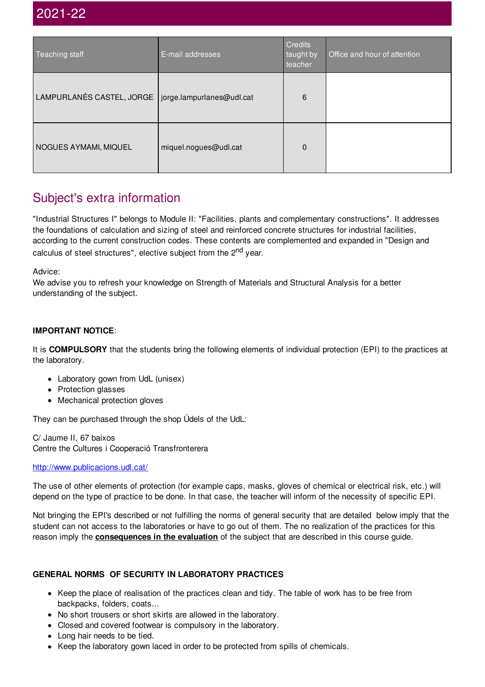| Teaching staff            | E-mail addresses          | <b>Credits</b><br>taught by<br>teacher | Office and hour of attention |
|---------------------------|---------------------------|----------------------------------------|------------------------------|
| LAMPURLANÉS CASTEL, JORGE | jorge.lampurlanes@udl.cat | 6                                      |                              |
| NOGUES AYMAMI, MIQUEL     | miquel.nogues@udl.cat     | 0                                      |                              |

## Subject's extra information

"Industrial Structures I" belongs to Module II: "Facilities, plants and complementary constructions". It addresses the foundations of calculation and sizing of steel and reinforced concrete structures for industrial facilities, according to the current construction codes. These contents are complemented and expanded in "Design and calculus of steel structures", elective subject from the 2<sup>nd</sup> year.

Advice:

We advise you to refresh your knowledge on Strength of Materials and Structural Analysis for a better understanding of the subject.

#### **IMPORTANT NOTICE**:

It is **COMPULSORY** that the students bring the following elements of individual protection (EPI) to the practices at the laboratory.

- Laboratory gown from UdL (unisex)
- Protection glasses
- Mechanical protection gloves

They can be purchased through the shop Údels of the UdL:

C/ Jaume II, 67 baixos Centre the Cultures i Cooperació Transfronterera

#### <http://www.publicacions.udl.cat/>

The use of other elements of protection (for example caps, masks, gloves of chemical or electrical risk, etc.) will depend on the type of practice to be done. In that case, the teacher will inform of the necessity of specific EPI.

Not bringing the EPI's described or not fulfilling the norms of general security that are detailed below imply that the student can not access to the laboratories or have to go out of them. The no realization of the practices for this reason imply the **consequences in the evaluation** of the subject that are described in this course guide.

#### **GENERAL NORMS OF SECURITY IN LABORATORY PRACTICES**

- Keep the place of realisation of the practices clean and tidy. The table of work has to be free from backpacks, folders, coats...
- No short trousers or short skirts are allowed in the laboratory.
- Closed and covered footwear is compulsory in the laboratory.
- Long hair needs to be tied.
- Keep the laboratory gown laced in order to be protected from spills of chemicals.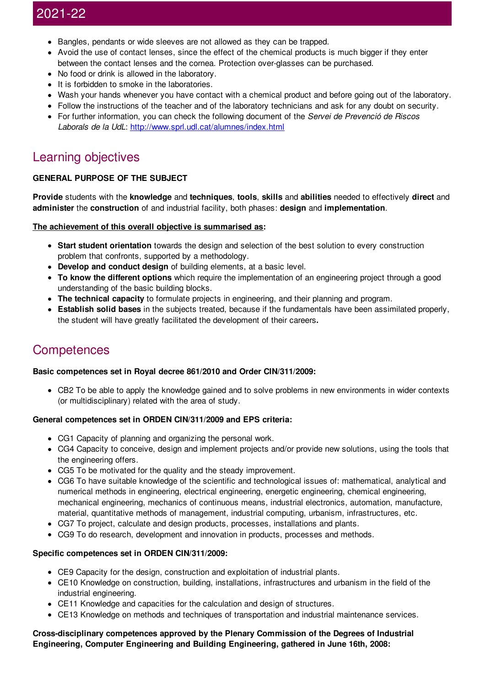- Bangles, pendants or wide sleeves are not allowed as they can be trapped.
- Avoid the use of contact lenses, since the effect of the chemical products is much bigger if they enter between the contact lenses and the cornea. Protection over-glasses can be purchased.
- No food or drink is allowed in the laboratory.
- It is forbidden to smoke in the laboratories.
- Wash your hands whenever you have contact with a chemical product and before going out of the laboratory.
- Follow the instructions of the teacher and of the laboratory technicians and ask for any doubt on security.
- For further information, you can check the following document of the *Servei de Prevenció de Riscos Laborals de la UdL*: <http://www.sprl.udl.cat/alumnes/index.html>

## Learning objectives

#### **GENERAL PURPOSE OF THE SUBJECT**

**Provide** students with the **knowledge** and **techniques**, **tools**, **skills** and **abilities** needed to effectively **direct** and **administer** the **construction** of and industrial facility, both phases: **design** and **implementation**.

#### **The achievement of this overall objective is summarised as:**

- **Start student orientation** towards the design and selection of the best solution to every construction problem that confronts, supported by a methodology.
- **Develop and conduct design** of building elements, at a basic level.
- **To know the different options** which require the implementation of an engineering project through a good understanding of the basic building blocks.
- **The technical capacity** to formulate projects in engineering, and their planning and program.
- **Establish solid bases** in the subjects treated, because if the fundamentals have been assimilated properly, the student will have greatly facilitated the development of their careers**.**

### **Competences**

#### **Basic competences set in Royal decree 861/2010 and Order CIN/311/2009:**

CB2 To be able to apply the knowledge gained and to solve problems in new environments in wider contexts (or multidisciplinary) related with the area of study.

#### **General competences set in ORDEN CIN/311/2009 and EPS criteria:**

- CG1 Capacity of planning and organizing the personal work.
- CG4 Capacity to conceive, design and implement projects and/or provide new solutions, using the tools that the engineering offers.
- CG5 To be motivated for the quality and the steady improvement.
- CG6 To have suitable knowledge of the scientific and technological issues of: mathematical, analytical and numerical methods in engineering, electrical engineering, energetic engineering, chemical engineering, mechanical engineering, mechanics of continuous means, industrial electronics, automation, manufacture, material, quantitative methods of management, industrial computing, urbanism, infrastructures, etc.
- CG7 To project, calculate and design products, processes, installations and plants.
- CG9 To do research, development and innovation in products, processes and methods.

#### **Specific competences set in ORDEN CIN/311/2009:**

- CE9 Capacity for the design, construction and exploitation of industrial plants.
- CE10 Knowledge on construction, building, installations, infrastructures and urbanism in the field of the industrial engineering.
- CE11 Knowledge and capacities for the calculation and design of structures.
- CE13 Knowledge on methods and techniques of transportation and industrial maintenance services.

#### **Cross-disciplinary competences approved by the Plenary Commission of the Degrees of Industrial Engineering, Computer Engineering and Building Engineering, gathered in June 16th, 2008:**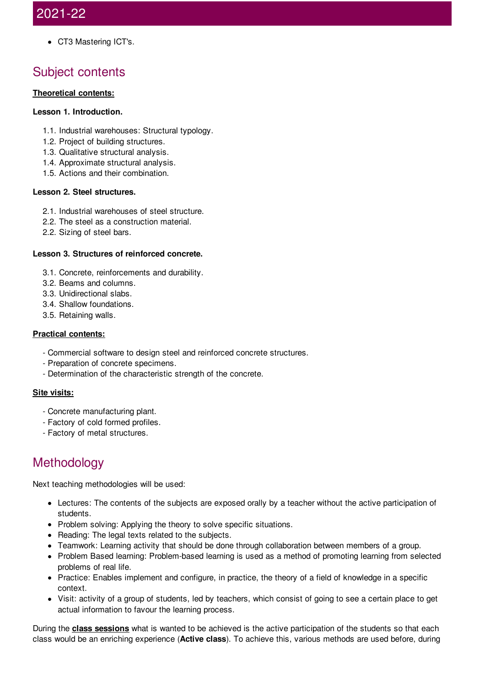CT3 Mastering ICT's.

## Subject contents

#### **Theoretical contents:**

#### **Lesson 1. Introduction.**

- 1.1. Industrial warehouses: Structural typology.
- 1.2. Project of building structures.
- 1.3. Qualitative structural analysis.
- 1.4. Approximate structural analysis.
- 1.5. Actions and their combination.

#### **Lesson 2. Steel structures.**

- 2.1. Industrial warehouses of steel structure.
- 2.2. The steel as a construction material.
- 2.2. Sizing of steel bars.

#### **Lesson 3. Structures of reinforced concrete.**

- 3.1. Concrete, reinforcements and durability.
- 3.2. Beams and columns.
- 3.3. Unidirectional slabs.
- 3.4. Shallow foundations.
- 3.5. Retaining walls.

#### **Practical contents:**

- Commercial software to design steel and reinforced concrete structures.
- Preparation of concrete specimens.
- Determination of the characteristic strength of the concrete.

#### **Site visits:**

- Concrete manufacturing plant.
- Factory of cold formed profiles.
- Factory of metal structures.

## **Methodology**

Next teaching methodologies will be used:

- Lectures: The contents of the subjects are exposed orally by a teacher without the active participation of students.
- Problem solving: Applying the theory to solve specific situations.
- Reading: The legal texts related to the subjects.
- Teamwork: Learning activity that should be done through collaboration between members of a group.
- Problem Based learning: Problem-based learning is used as a method of promoting learning from selected problems of real life.
- Practice: Enables implement and configure, in practice, the theory of a field of knowledge in a specific context.
- Visit: activity of a group of students, led by teachers, which consist of going to see a certain place to get actual information to favour the learning process.

During the **class sessions** what is wanted to be achieved is the active participation of the students so that each class would be an enriching experience (**Active class**). To achieve this, various methods are used before, during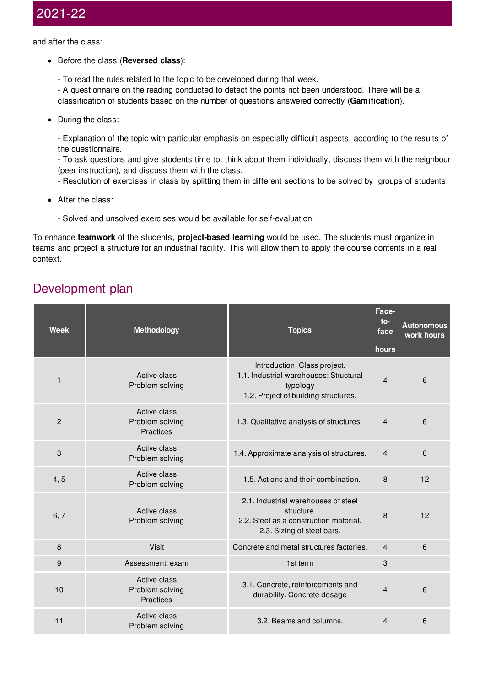and after the class:

- Before the class (**Reversed class**):
	- To read the rules related to the topic to be developed during that week.

- A questionnaire on the reading conducted to detect the points not been understood. There will be a classification of students based on the number of questions answered correctly (**Gamification**).

• During the class:

- Explanation of the topic with particular emphasis on especially difficult aspects, according to the results of the questionnaire.

- To ask questions and give students time to: think about them individually, discuss them with the neighbour (peer instruction), and discuss them with the class.

- Resolution of exercises in class by splitting them in different sections to be solved by groups of students.

- After the class:
	- Solved and unsolved exercises would be available for self-evaluation.

To enhance **teamwork** of the students, **project-based learning** would be used. The students must organize in teams and project a structure for an industrial facility. This will allow them to apply the course contents in a real context.

## Development plan

| <b>Week</b>  | Methodology                                         | <b>Topics</b>                                                                                                              | Face-<br>to-<br>face<br>hours | <b>Autonomous</b><br>work hours |
|--------------|-----------------------------------------------------|----------------------------------------------------------------------------------------------------------------------------|-------------------------------|---------------------------------|
| $\mathbf{1}$ | Active class<br>Problem solving                     | Introduction. Class project.<br>1.1. Industrial warehouses: Structural<br>typology<br>1.2. Project of building structures. | $\overline{4}$                | 6                               |
| 2            | Active class<br>Problem solving<br><b>Practices</b> | 1.3. Qualitative analysis of structures.                                                                                   | $\overline{4}$                | 6                               |
| 3            | Active class<br>Problem solving                     | 1.4. Approximate analysis of structures.                                                                                   | $\overline{4}$                | 6                               |
| 4, 5         | Active class<br>Problem solving                     | 1.5. Actions and their combination.                                                                                        | 8                             | 12                              |
| 6, 7         | Active class<br>Problem solving                     | 2.1. Industrial warehouses of steel<br>structure.<br>2.2. Steel as a construction material.<br>2.3. Sizing of steel bars.  | 8                             | 12                              |
| 8            | <b>Visit</b>                                        | Concrete and metal structures factories.                                                                                   | $\overline{4}$                | 6                               |
| 9            | Assessment: exam                                    | 1st term                                                                                                                   | 3                             |                                 |
| 10           | Active class<br>Problem solving<br><b>Practices</b> | 3.1. Concrete, reinforcements and<br>durability. Concrete dosage                                                           | $\overline{4}$                | 6                               |
| 11           | Active class<br>Problem solving                     | 3.2. Beams and columns.                                                                                                    | 4                             | 6                               |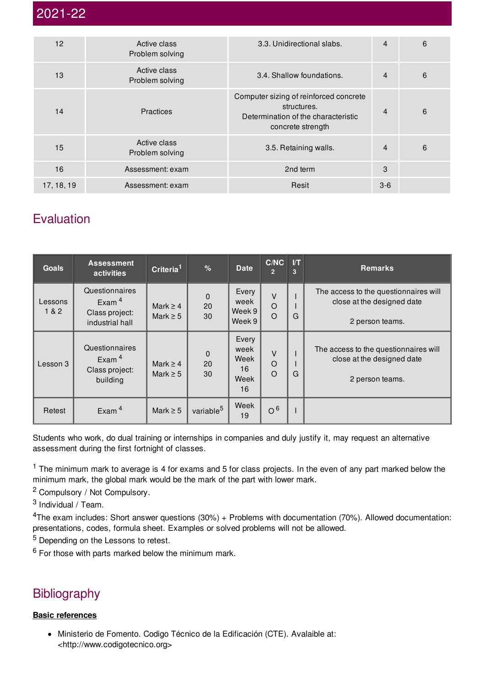| 12         | Active class<br>Problem solving | 3.3. Unidirectional slabs.                                                                                        | $\overline{4}$ | 6 |
|------------|---------------------------------|-------------------------------------------------------------------------------------------------------------------|----------------|---|
| 13         | Active class<br>Problem solving | 3.4. Shallow foundations.                                                                                         | $\overline{4}$ | 6 |
| 14         | <b>Practices</b>                | Computer sizing of reinforced concrete<br>structures.<br>Determination of the characteristic<br>concrete strength | 4              | 6 |
| 15         | Active class<br>Problem solving | 3.5. Retaining walls.                                                                                             | $\overline{4}$ | 6 |
| 16         | Assessment: exam                | 2nd term                                                                                                          | 3              |   |
| 17, 18, 19 | Assessment: exam                | Resit                                                                                                             | $3-6$          |   |

## **Evaluation**

| <b>Goals</b>     | <b>Assessment</b><br>activities                                 | Criteria <sup>1</sup>          | %                       | <b>Date</b>                               | C/NC<br>$\overline{2}$        | $\mathsf{I}/\mathsf{T}$<br>$\overline{3}$ | <b>Remarks</b>                                                                         |
|------------------|-----------------------------------------------------------------|--------------------------------|-------------------------|-------------------------------------------|-------------------------------|-------------------------------------------|----------------------------------------------------------------------------------------|
| Lessons<br>1 & 2 | Questionnaires<br>Exam $4$<br>Class project:<br>industrial hall | Mark $\geq$ 4<br>Mark $\geq 5$ | $\mathbf 0$<br>20<br>30 | Every<br>week<br>Week 9<br>Week 9         | $\vee$<br>$\circ$<br>$\Omega$ | G                                         | The access to the questionnaires will<br>close at the designed date<br>2 person teams. |
| Lesson 3         | Questionnaires<br>Exam $4$<br>Class project:<br>building        | Mark $\geq$ 4<br>Mark $\geq 5$ | $\pmb{0}$<br>20<br>30   | Every<br>week<br>Week<br>16<br>Week<br>16 | $\vee$<br>$\circ$<br>$\circ$  | G                                         | The access to the questionnaires will<br>close at the designed date<br>2 person teams. |
| Retest           | Exam $4$                                                        | Mark $\geq$ 5                  | variable <sup>5</sup>   | Week<br>19                                | O <sup>6</sup>                |                                           |                                                                                        |

Students who work, do dual training or internships in companies and duly justify it, may request an alternative assessment during the first fortnight of classes.

 $1$  The minimum mark to average is 4 for exams and 5 for class projects. In the even of any part marked below the minimum mark, the global mark would be the mark of the part with lower mark.

<sup>2</sup> Compulsory / Not Compulsory.

<sup>3</sup> Individual / Team.

<sup>4</sup>The exam includes: Short answer questions (30%) + Problems with documentation (70%). Allowed documentation: presentations, codes, formula sheet. Examples or solved problems will not be allowed.

<sup>5</sup> Depending on the Lessons to retest.

 $6$  For those with parts marked below the minimum mark.

## **Bibliography**

#### **Basic references**

Ministerio de Fomento. Codigo Técnico de la Edificación (CTE). Avalaible at: <http://www.codigotecnico.org>